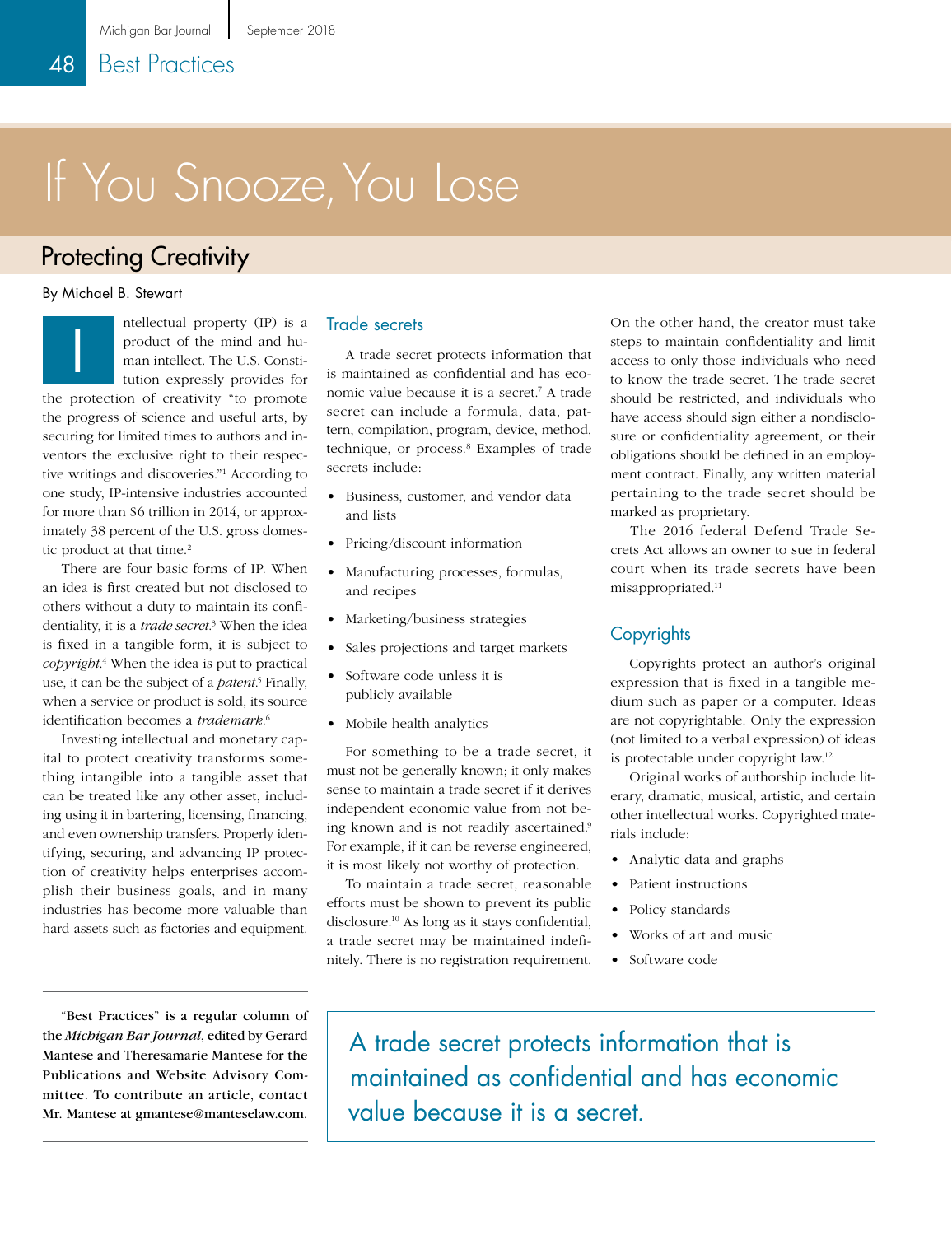# If You Snooze, You Lose

# Protecting Creativity

#### By Michael B. Stewart



ntellectual property (IP) is a product of the mind and human intellect. The U.S. Constitution expressly provides for

the protection of creativity "to promote the progress of science and useful arts, by securing for limited times to authors and inventors the exclusive right to their respective writings and discoveries."1 According to one study, IP-intensive industries accounted for more than \$6 trillion in 2014, or approximately 38 percent of the U.S. gross domestic product at that time.<sup>2</sup>

There are four basic forms of IP. When an idea is first created but not disclosed to others without a duty to maintain its confidentiality, it is a *trade secret*. 3 When the idea is fixed in a tangible form, it is subject to *copyright*. 4 When the idea is put to practical use, it can be the subject of a *patent*. 5 Finally, when a service or product is sold, its source identification becomes a *trademark*. 6

Investing intellectual and monetary capital to protect creativity transforms something intangible into a tangible asset that can be treated like any other asset, including using it in bartering, licensing, financing, and even ownership transfers. Properly identifying, securing, and advancing IP protection of creativity helps enterprises accomplish their business goals, and in many industries has become more valuable than hard assets such as factories and equipment.

"Best Practices" is a regular column of the *Michigan Bar Journal*, edited by Gerard Mantese and Theresamarie Mantese for the Publications and Website Advisory Committee. To contribute an article, contact Mr. Mantese at gmantese@manteselaw.com.

#### Trade secrets

A trade secret protects information that is maintained as confidential and has economic value because it is a secret.7 A trade secret can include a formula, data, pattern, compilation, program, device, method, technique, or process.<sup>8</sup> Examples of trade secrets include:

- Business, customer, and vendor data and lists
- Pricing/discount information
- Manufacturing processes, formulas, and recipes
- Marketing/business strategies
- Sales projections and target markets
- Software code unless it is publicly available
- Mobile health analytics

For something to be a trade secret, it must not be generally known; it only makes sense to maintain a trade secret if it derives independent economic value from not being known and is not readily ascertained.9 For example, if it can be reverse engineered, it is most likely not worthy of protection.

To maintain a trade secret, reasonable efforts must be shown to prevent its public disclosure.10 As long as it stays confidential, a trade secret may be maintained indefinitely. There is no registration requirement.

On the other hand, the creator must take steps to maintain confidentiality and limit access to only those individuals who need to know the trade secret. The trade secret should be restricted, and individuals who have access should sign either a nondisclosure or confidentiality agreement, or their obligations should be defined in an employment contract. Finally, any written material pertaining to the trade secret should be marked as proprietary.

The 2016 federal Defend Trade Secrets Act allows an owner to sue in federal court when its trade secrets have been misappropriated.<sup>11</sup>

## **Copyrights**

Copyrights protect an author's original expression that is fixed in a tangible medium such as paper or a computer. Ideas are not copyrightable. Only the expression (not limited to a verbal expression) of ideas is protectable under copyright law.12

Original works of authorship include literary, dramatic, musical, artistic, and certain other intellectual works. Copyrighted materials include:

- Analytic data and graphs
- Patient instructions
- Policy standards
- Works of art and music
- Software code

A trade secret protects information that is maintained as confidential and has economic value because it is a secret.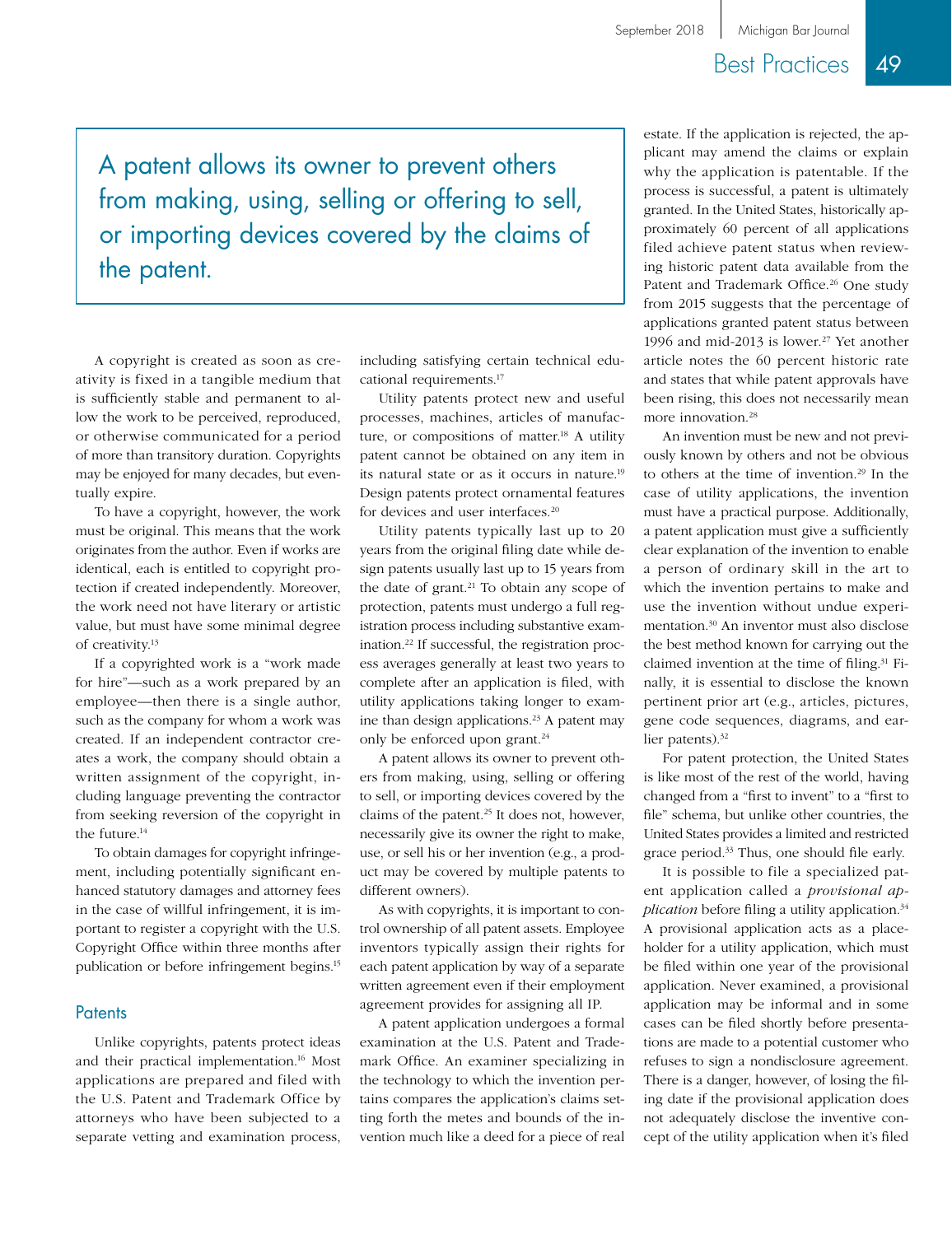# Best Practices 49

A patent allows its owner to prevent others from making, using, selling or offering to sell, or importing devices covered by the claims of the patent.

A copyright is created as soon as creativity is fixed in a tangible medium that is sufficiently stable and permanent to allow the work to be perceived, reproduced, or otherwise communicated for a period of more than transitory duration. Copyrights may be enjoyed for many decades, but eventually expire.

To have a copyright, however, the work must be original. This means that the work originates from the author. Even if works are identical, each is entitled to copyright protection if created independently. Moreover, the work need not have literary or artistic value, but must have some minimal degree of creativity.13

If a copyrighted work is a "work made for hire"—such as a work prepared by an employee—then there is a single author, such as the company for whom a work was created. If an independent contractor creates a work, the company should obtain a written assignment of the copyright, including language preventing the contractor from seeking reversion of the copyright in the future.14

To obtain damages for copyright infringement, including potentially significant enhanced statutory damages and attorney fees in the case of willful infringement, it is important to register a copyright with the U.S. Copyright Office within three months after publication or before infringement begins.<sup>15</sup>

#### **Patents**

Unlike copyrights, patents protect ideas and their practical implementation.<sup>16</sup> Most applications are prepared and filed with the U.S. Patent and Trademark Office by attorneys who have been subjected to a separate vetting and examination process,

including satisfying certain technical educational requirements.17

Utility patents protect new and useful processes, machines, articles of manufacture, or compositions of matter.18 A utility patent cannot be obtained on any item in its natural state or as it occurs in nature.19 Design patents protect ornamental features for devices and user interfaces.20

Utility patents typically last up to 20 years from the original filing date while design patents usually last up to 15 years from the date of grant. $21$  To obtain any scope of protection, patents must undergo a full registration process including substantive examination.22 If successful, the registration process averages generally at least two years to complete after an application is filed, with utility applications taking longer to examine than design applications.<sup>23</sup> A patent may only be enforced upon grant.<sup>24</sup>

A patent allows its owner to prevent others from making, using, selling or offering to sell, or importing devices covered by the claims of the patent.25 It does not, however, necessarily give its owner the right to make, use, or sell his or her invention (e.g., a product may be covered by multiple patents to different owners).

As with copyrights, it is important to control ownership of all patent assets. Employee inventors typically assign their rights for each patent application by way of a separate written agreement even if their employment agreement provides for assigning all IP.

A patent application undergoes a formal examination at the U.S. Patent and Trademark Office. An examiner specializing in the technology to which the invention pertains compares the application's claims setting forth the metes and bounds of the invention much like a deed for a piece of real estate. If the application is rejected, the applicant may amend the claims or explain why the application is patentable. If the process is successful, a patent is ultimately granted. In the United States, historically approximately 60 percent of all applications filed achieve patent status when reviewing historic patent data available from the Patent and Trademark Office.<sup>26</sup> One study from 2015 suggests that the percentage of applications granted patent status between 1996 and mid-2013 is lower.<sup>27</sup> Yet another article notes the 60 percent historic rate and states that while patent approvals have been rising, this does not necessarily mean more innovation.28

An invention must be new and not previously known by others and not be obvious to others at the time of invention.<sup>29</sup> In the case of utility applications, the invention must have a practical purpose. Additionally, a patent application must give a sufficiently clear explanation of the invention to enable a person of ordinary skill in the art to which the invention pertains to make and use the invention without undue experimentation.30 An inventor must also disclose the best method known for carrying out the claimed invention at the time of filing.<sup>31</sup> Finally, it is essential to disclose the known pertinent prior art (e.g., articles, pictures, gene code sequences, diagrams, and earlier patents).<sup>32</sup>

For patent protection, the United States is like most of the rest of the world, having changed from a "first to invent" to a "first to file" schema, but unlike other countries, the United States provides a limited and restricted grace period.<sup>33</sup> Thus, one should file early.

It is possible to file a specialized patent application called a *provisional application* before filing a utility application.<sup>34</sup> A provisional application acts as a placeholder for a utility application, which must be filed within one year of the provisional application. Never examined, a provisional application may be informal and in some cases can be filed shortly before presentations are made to a potential customer who refuses to sign a nondisclosure agreement. There is a danger, however, of losing the filing date if the provisional application does not adequately disclose the inventive concept of the utility application when it's filed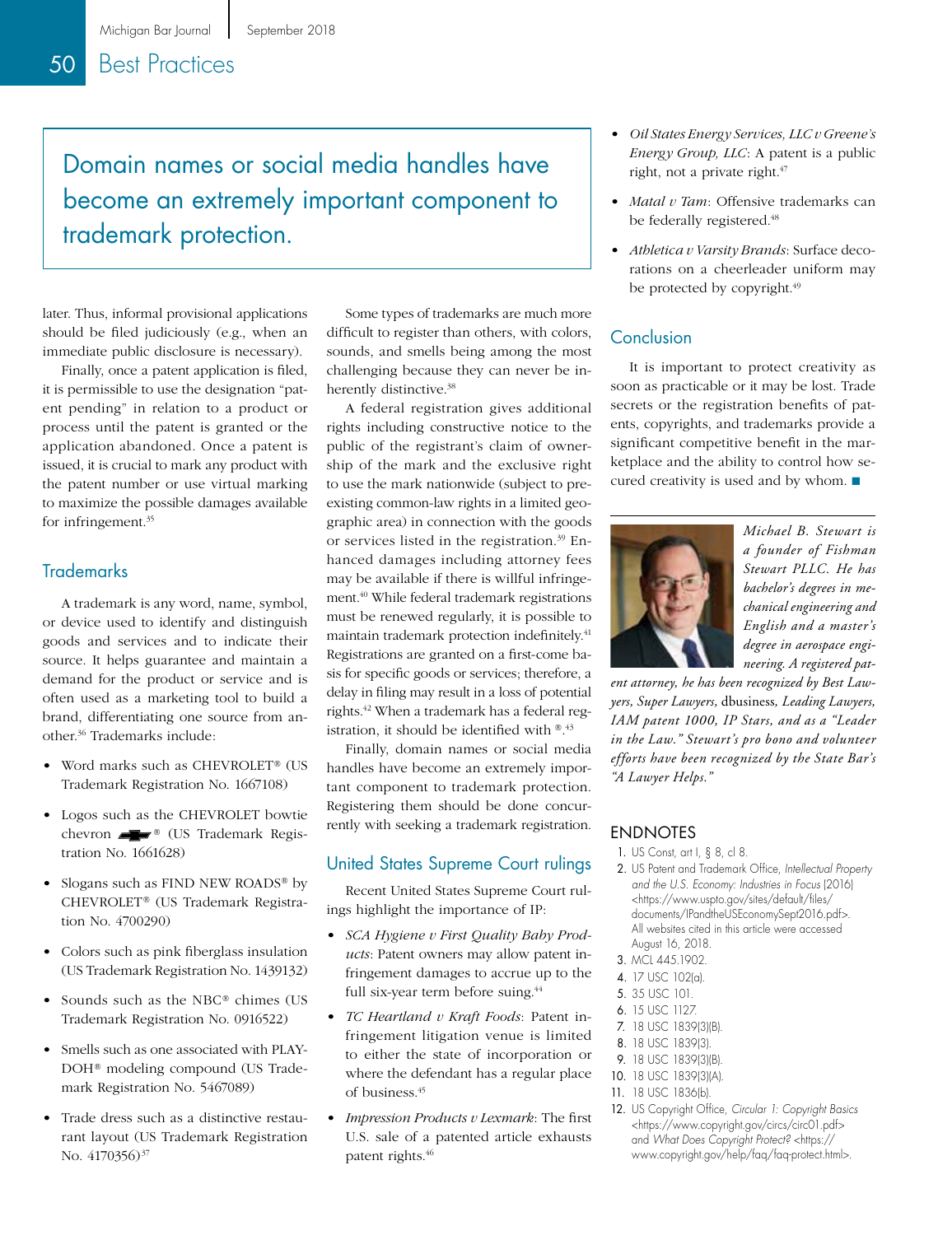Domain names or social media handles have become an extremely important component to trademark protection.

later. Thus, informal provisional applications should be filed judiciously (e.g., when an immediate public disclosure is necessary).

Finally, once a patent application is filed, it is permissible to use the designation "patent pending" in relation to a product or process until the patent is granted or the application abandoned. Once a patent is issued, it is crucial to mark any product with the patent number or use virtual marking to maximize the possible damages available for infringement.<sup>35</sup>

# **Trademarks**

A trademark is any word, name, symbol, or device used to identify and distinguish goods and services and to indicate their source. It helps guarantee and maintain a demand for the product or service and is often used as a marketing tool to build a brand, differentiating one source from another.36 Trademarks include:

- Word marks such as CHEVROLET® (US Trademark Registration No. 1667108)
- Logos such as the CHEVROLET bowtie chevron  $\blacksquare$  ® (US Trademark Registration No. 1661628)
- Slogans such as FIND NEW ROADS® by CHEVROLET® (US Trademark Registration No. 4700290)
- Colors such as pink fiberglass insulation (US Trademark Registration No. 1439132)
- Sounds such as the NBC® chimes (US Trademark Registration No. 0916522)
- Smells such as one associated with PLAY-DOH® modeling compound (US Trademark Registration No. 5467089)
- Trade dress such as a distinctive restaurant layout (US Trademark Registration No. 4170356)<sup>37</sup>

Some types of trademarks are much more difficult to register than others, with colors, sounds, and smells being among the most challenging because they can never be inherently distinctive.<sup>38</sup>

A federal registration gives additional rights including constructive notice to the public of the registrant's claim of ownership of the mark and the exclusive right to use the mark nationwide (subject to preexisting common-law rights in a limited geographic area) in connection with the goods or services listed in the registration.<sup>39</sup> Enhanced damages including attorney fees may be available if there is willful infringement.40 While federal trademark registrations must be renewed regularly, it is possible to maintain trademark protection indefinitely.<sup>41</sup> Registrations are granted on a first-come basis for specific goods or services; therefore, a delay in filing may result in a loss of potential rights.42 When a trademark has a federal registration, it should be identified with ®. 43

Finally, domain names or social media handles have become an extremely important component to trademark protection. Registering them should be done concurrently with seeking a trademark registration.

## United States Supreme Court rulings

Recent United States Supreme Court rulings highlight the importance of IP:

- *SCA Hygiene v First Quality Baby Products*: Patent owners may allow patent infringement damages to accrue up to the full six-year term before suing.<sup>44</sup>
- *TC Heartland v Kraft Foods*: Patent infringement litigation venue is limited to either the state of incorporation or where the defendant has a regular place of business.45
- *Impression Products v Lexmark*: The first U.S. sale of a patented article exhausts patent rights.46
- *Oil States Energy Services, LLC v Greene's Energy Group, LLC*: A patent is a public right, not a private right.<sup>47</sup>
- *Matal v Tam*: Offensive trademarks can be federally registered.<sup>48</sup>
- *Athletica v Varsity Brands*: Surface decorations on a cheerleader uniform may be protected by copyright.<sup>49</sup>

## Conclusion

It is important to protect creativity as soon as practicable or it may be lost. Trade secrets or the registration benefits of patents, copyrights, and trademarks provide a significant competitive benefit in the marketplace and the ability to control how secured creativity is used and by whom.  $\blacksquare$ 



*Michael B. Stewart is a founder of Fishman Stewart PLLC. He has bachelor's degrees in mechanical engineering and English and a master's degree in aerospace engineering. A registered pat-*

*ent attorney, he has been recognized by Best Lawyers, Super Lawyers,* dbusiness*, Leading Lawyers, IAM patent 1000, IP Stars, and as a "Leader in the Law." Stewart's pro bono and volunteer efforts have been recognized by the State Bar's "A Lawyer Helps."*

### ENDNOTES

- 1. US Const, art I, § 8, cl 8.
- 2. US Patent and Trademark Office, *Intellectual Property and the U.S. Economy: Industries in Focus* (2016) <[https://www.uspto.gov/sites/default/files/](https://www.uspto.gov/sites/default/files/documents/IPandtheUSEconomySept2016.pdf) [documents/IPandtheUSEconomySept2016.pdf](https://www.uspto.gov/sites/default/files/documents/IPandtheUSEconomySept2016.pdf)>. All websites cited in this article were accessed August 16, 2018.
- 3. MCL 445.1902.
- 4. 17 USC 102(a).
- 5. 35 USC 101.
- 6. 15 USC 1127.
- 7. 18 USC 1839(3)(B).
- 8. 18 USC 1839(3).
- 9. 18 USC 1839(3)(B).
- 10. 18 USC 1839(3)(A).
- 11. 18 USC 1836(b).
- 12. US Copyright Office, *Circular 1: Copyright Basics* <https://www.copyright.gov/circs/circ01.pdf> and *What Does Copyright Protect?* [<https://](https://www.copyright.gov/help/faq/faq-protect.html) [www.copyright.gov/help/faq/faq-protect.html](https://www.copyright.gov/help/faq/faq-protect.html)>.